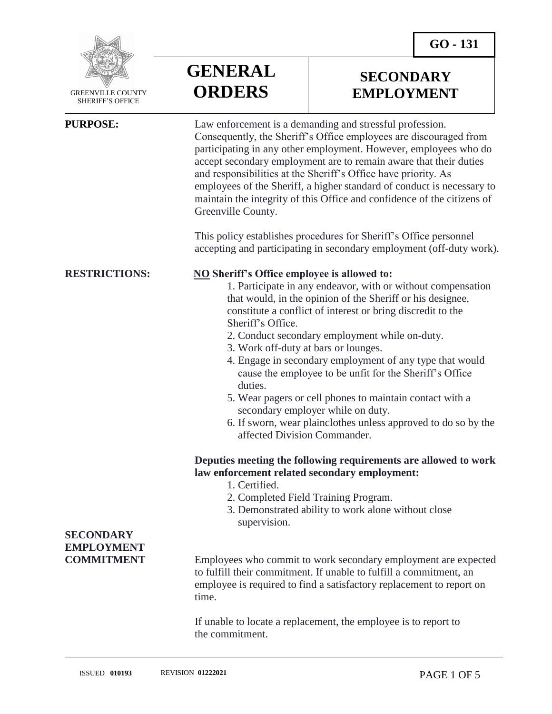

 GREENVILLE COUNTY SHERIFF'S OFFICE

 $\overline{a}$ 



# **SECONDARY EMPLOYMENT**

**PURPOSE:** Law enforcement is a demanding and stressful profession. Consequently, the Sheriff's Office employees are discouraged from participating in any other employment. However, employees who do accept secondary employment are to remain aware that their duties and responsibilities at the Sheriff's Office have priority. As employees of the Sheriff, a higher standard of conduct is necessary to maintain the integrity of this Office and confidence of the citizens of Greenville County. This policy establishes procedures for Sheriff's Office personnel

accepting and participating in secondary employment (off-duty work).

### **RESTRICTIONS: NO Sheriff's Office employee is allowed to:**

1. Participate in any endeavor, with or without compensation that would, in the opinion of the Sheriff or his designee, constitute a conflict of interest or bring discredit to the Sheriff's Office.

- 2. Conduct secondary employment while on-duty.
- 3. Work off-duty at bars or lounges.
- 4. Engage in secondary employment of any type that would cause the employee to be unfit for the Sheriff's Office duties.
- 5. Wear pagers or cell phones to maintain contact with a secondary employer while on duty.
- 6. If sworn, wear plainclothes unless approved to do so by the affected Division Commander.

### **Deputies meeting the following requirements are allowed to work law enforcement related secondary employment:**

- 1. Certified.
- 2. Completed Field Training Program.
- 3. Demonstrated ability to work alone without close supervision.

**COMMITMENT** Employees who commit to work secondary employment are expected to fulfill their commitment. If unable to fulfill a commitment, an employee is required to find a satisfactory replacement to report on time.

> If unable to locate a replacement, the employee is to report to the commitment.

# **SECONDARY EMPLOYMENT**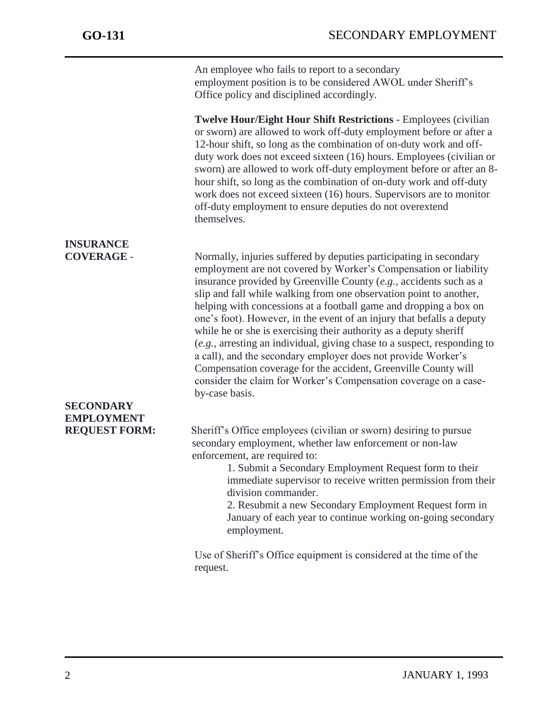j

An employee who fails to report to a secondary employment position is to be considered AWOL under Sheriff's Office policy and disciplined accordingly.

**Twelve Hour/Eight Hour Shift Restrictions** - Employees (civilian or sworn) are allowed to work off-duty employment before or after a 12-hour shift, so long as the combination of on-duty work and offduty work does not exceed sixteen (16) hours. Employees (civilian or sworn) are allowed to work off-duty employment before or after an 8 hour shift, so long as the combination of on-duty work and off-duty work does not exceed sixteen (16) hours. Supervisors are to monitor off-duty employment to ensure deputies do not overextend themselves.

**INSURANCE COVERAGE** - Normally, injuries suffered by deputies participating in secondary employment are not covered by Worker's Compensation or liability insurance provided by Greenville County (*e.g.,* accidents such as a slip and fall while walking from one observation point to another, helping with concessions at a football game and dropping a box on one's foot). However, in the event of an injury that befalls a deputy while he or she is exercising their authority as a deputy sheriff (*e.g.,* arresting an individual, giving chase to a suspect, responding to a call), and the secondary employer does not provide Worker's Compensation coverage for the accident, Greenville County will consider the claim for Worker's Compensation coverage on a caseby-case basis. **REQUEST FORM:** Sheriff's Office employees (civilian or sworn) desiring to pursue secondary employment, whether law enforcement or non-law

> enforcement, are required to: 1. Submit a Secondary Employment Request form to their immediate supervisor to receive written permission from their division commander.

> > 2. Resubmit a new Secondary Employment Request form in January of each year to continue working on-going secondary employment.

Use of Sheriff's Office equipment is considered at the time of the request.

## **SECONDARY EMPLOYMENT**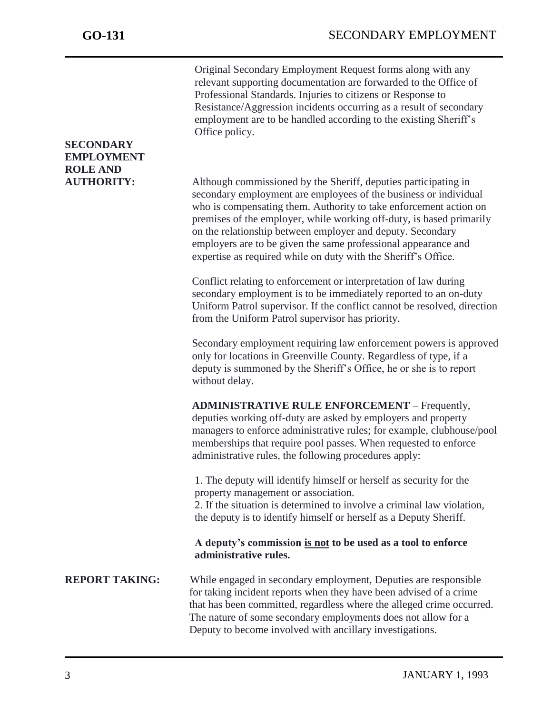| <b>SECONDARY</b><br><b>EMPLOYMENT</b> | Original Secondary Employment Request forms along with any<br>relevant supporting documentation are forwarded to the Office of<br>Professional Standards. Injuries to citizens or Response to<br>Resistance/Aggression incidents occurring as a result of secondary<br>employment are to be handled according to the existing Sheriff's<br>Office policy.                                                                                                                          |
|---------------------------------------|------------------------------------------------------------------------------------------------------------------------------------------------------------------------------------------------------------------------------------------------------------------------------------------------------------------------------------------------------------------------------------------------------------------------------------------------------------------------------------|
| <b>ROLE AND</b><br><b>AUTHORITY:</b>  | Although commissioned by the Sheriff, deputies participating in<br>secondary employment are employees of the business or individual<br>who is compensating them. Authority to take enforcement action on<br>premises of the employer, while working off-duty, is based primarily<br>on the relationship between employer and deputy. Secondary<br>employers are to be given the same professional appearance and<br>expertise as required while on duty with the Sheriff's Office. |
|                                       | Conflict relating to enforcement or interpretation of law during<br>secondary employment is to be immediately reported to an on-duty<br>Uniform Patrol supervisor. If the conflict cannot be resolved, direction<br>from the Uniform Patrol supervisor has priority.                                                                                                                                                                                                               |
|                                       | Secondary employment requiring law enforcement powers is approved<br>only for locations in Greenville County. Regardless of type, if a<br>deputy is summoned by the Sheriff's Office, he or she is to report<br>without delay.                                                                                                                                                                                                                                                     |
|                                       | <b>ADMINISTRATIVE RULE ENFORCEMENT - Frequently,</b><br>deputies working off-duty are asked by employers and property<br>managers to enforce administrative rules; for example, clubhouse/pool<br>memberships that require pool passes. When requested to enforce<br>administrative rules, the following procedures apply:                                                                                                                                                         |
|                                       | 1. The deputy will identify himself or herself as security for the<br>property management or association.<br>2. If the situation is determined to involve a criminal law violation,<br>the deputy is to identify himself or herself as a Deputy Sheriff.                                                                                                                                                                                                                           |
|                                       | A deputy's commission is not to be used as a tool to enforce<br>administrative rules.                                                                                                                                                                                                                                                                                                                                                                                              |
| <b>REPORT TAKING:</b>                 | While engaged in secondary employment, Deputies are responsible<br>for taking incident reports when they have been advised of a crime<br>that has been committed, regardless where the alleged crime occurred.<br>The nature of some secondary employments does not allow for a<br>Deputy to become involved with ancillary investigations.                                                                                                                                        |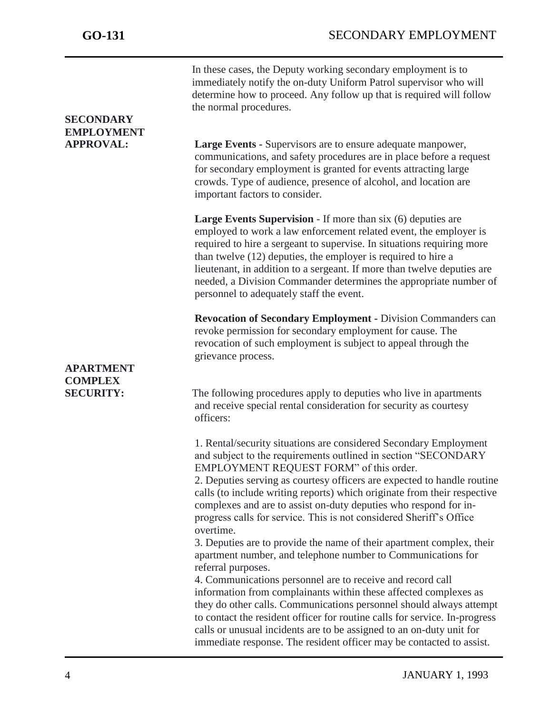|                   | In these cases, the Deputy working secondary employment is to<br>immediately notify the on-duty Uniform Patrol supervisor who will<br>determine how to proceed. Any follow up that is required will follow<br>the normal procedures.                                                                                                                                                                                                                                            |
|-------------------|---------------------------------------------------------------------------------------------------------------------------------------------------------------------------------------------------------------------------------------------------------------------------------------------------------------------------------------------------------------------------------------------------------------------------------------------------------------------------------|
| <b>SECONDARY</b>  |                                                                                                                                                                                                                                                                                                                                                                                                                                                                                 |
| <b>EMPLOYMENT</b> |                                                                                                                                                                                                                                                                                                                                                                                                                                                                                 |
| <b>APPROVAL:</b>  | Large Events - Supervisors are to ensure adequate manpower,<br>communications, and safety procedures are in place before a request<br>for secondary employment is granted for events attracting large<br>crowds. Type of audience, presence of alcohol, and location are<br>important factors to consider.                                                                                                                                                                      |
|                   | <b>Large Events Supervision</b> - If more than six (6) deputies are<br>employed to work a law enforcement related event, the employer is<br>required to hire a sergeant to supervise. In situations requiring more<br>than twelve (12) deputies, the employer is required to hire a<br>lieutenant, in addition to a sergeant. If more than twelve deputies are<br>needed, a Division Commander determines the appropriate number of<br>personnel to adequately staff the event. |
|                   | <b>Revocation of Secondary Employment - Division Commanders can</b><br>revoke permission for secondary employment for cause. The<br>revocation of such employment is subject to appeal through the<br>grievance process.                                                                                                                                                                                                                                                        |
| <b>APARTMENT</b>  |                                                                                                                                                                                                                                                                                                                                                                                                                                                                                 |
| <b>COMPLEX</b>    |                                                                                                                                                                                                                                                                                                                                                                                                                                                                                 |
| <b>SECURITY:</b>  | The following procedures apply to deputies who live in apartments<br>and receive special rental consideration for security as courtesy<br>officers:                                                                                                                                                                                                                                                                                                                             |
|                   | 1. Rental/security situations are considered Secondary Employment<br>and subject to the requirements outlined in section "SECONDARY<br>EMPLOYMENT REQUEST FORM" of this order.                                                                                                                                                                                                                                                                                                  |
|                   | 2. Deputies serving as courtesy officers are expected to handle routine<br>calls (to include writing reports) which originate from their respective<br>complexes and are to assist on-duty deputies who respond for in-<br>progress calls for service. This is not considered Sheriff's Office<br>overtime.                                                                                                                                                                     |
|                   | 3. Deputies are to provide the name of their apartment complex, their<br>apartment number, and telephone number to Communications for<br>referral purposes.                                                                                                                                                                                                                                                                                                                     |
|                   | 4. Communications personnel are to receive and record call<br>information from complainants within these affected complexes as<br>they do other calls. Communications personnel should always attempt<br>to contact the resident officer for routine calls for service. In-progress<br>calls or unusual incidents are to be assigned to an on-duty unit for<br>immediate response. The resident officer may be contacted to assist.                                             |